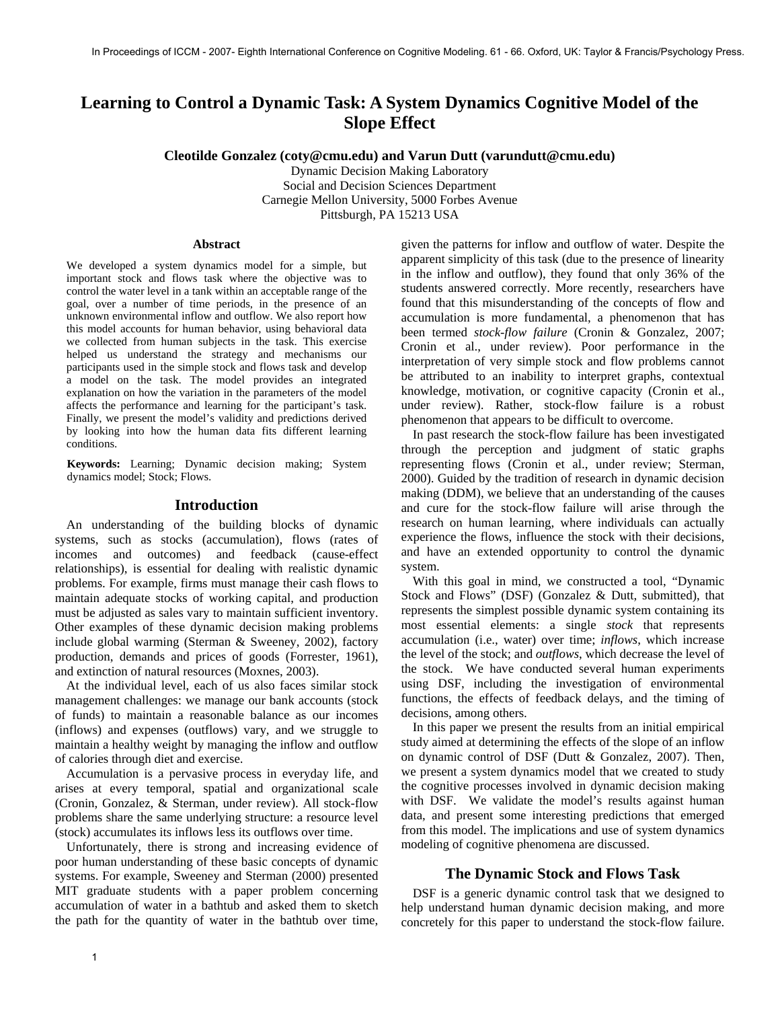# **Learning to Control a Dynamic Task: A System Dynamics Cognitive Model of the Slope Effect**

**Cleotilde Gonzalez (coty@cmu.edu) and Varun Dutt (varundutt@cmu.edu)** 

Dynamic Decision Making Laboratory Social and Decision Sciences Department Carnegie Mellon University, 5000 Forbes Avenue Pittsburgh, PA 15213 USA

#### **Abstract**

We developed a system dynamics model for a simple, but important stock and flows task where the objective was to control the water level in a tank within an acceptable range of the goal, over a number of time periods, in the presence of an unknown environmental inflow and outflow. We also report how this model accounts for human behavior, using behavioral data we collected from human subjects in the task. This exercise helped us understand the strategy and mechanisms our participants used in the simple stock and flows task and develop a model on the task. The model provides an integrated explanation on how the variation in the parameters of the model affects the performance and learning for the participant's task. Finally, we present the model's validity and predictions derived by looking into how the human data fits different learning conditions.

**Keywords:** Learning; Dynamic decision making; System dynamics model; Stock; Flows.

#### **Introduction**

An understanding of the building blocks of dynamic systems, such as stocks (accumulation), flows (rates of incomes and outcomes) and feedback (cause-effect relationships), is essential for dealing with realistic dynamic problems. For example, firms must manage their cash flows to maintain adequate stocks of working capital, and production must be adjusted as sales vary to maintain sufficient inventory. Other examples of these dynamic decision making problems include global warming (Sterman & Sweeney, 2002), factory production, demands and prices of goods (Forrester, 1961), and extinction of natural resources (Moxnes, 2003).

At the individual level, each of us also faces similar stock management challenges: we manage our bank accounts (stock of funds) to maintain a reasonable balance as our incomes (inflows) and expenses (outflows) vary, and we struggle to maintain a healthy weight by managing the inflow and outflow of calories through diet and exercise.

Accumulation is a pervasive process in everyday life, and arises at every temporal, spatial and organizational scale (Cronin, Gonzalez, & Sterman, under review). All stock-flow problems share the same underlying structure: a resource level (stock) accumulates its inflows less its outflows over time.

Unfortunately, there is strong and increasing evidence of poor human understanding of these basic concepts of dynamic systems. For example, Sweeney and Sterman (2000) presented MIT graduate students with a paper problem concerning accumulation of water in a bathtub and asked them to sketch the path for the quantity of water in the bathtub over time,

given the patterns for inflow and outflow of water. Despite the apparent simplicity of this task (due to the presence of linearity in the inflow and outflow), they found that only 36% of the students answered correctly. More recently, researchers have found that this misunderstanding of the concepts of flow and accumulation is more fundamental, a phenomenon that has been termed *stock-flow failure* (Cronin & Gonzalez, 2007; Cronin et al., under review). Poor performance in the interpretation of very simple stock and flow problems cannot be attributed to an inability to interpret graphs, contextual knowledge, motivation, or cognitive capacity (Cronin et al., under review). Rather, stock-flow failure is a robust phenomenon that appears to be difficult to overcome.

In past research the stock-flow failure has been investigated through the perception and judgment of static graphs representing flows (Cronin et al., under review; Sterman, 2000). Guided by the tradition of research in dynamic decision making (DDM), we believe that an understanding of the causes and cure for the stock-flow failure will arise through the research on human learning, where individuals can actually experience the flows, influence the stock with their decisions, and have an extended opportunity to control the dynamic system.

With this goal in mind, we constructed a tool, "Dynamic Stock and Flows" (DSF) (Gonzalez & Dutt, submitted), that represents the simplest possible dynamic system containing its most essential elements: a single *stock* that represents accumulation (i.e., water) over time; *inflows*, which increase the level of the stock; and *outflows*, which decrease the level of the stock. We have conducted several human experiments using DSF, including the investigation of environmental functions, the effects of feedback delays, and the timing of decisions, among others.

In this paper we present the results from an initial empirical study aimed at determining the effects of the slope of an inflow on dynamic control of DSF (Dutt & Gonzalez, 2007). Then, we present a system dynamics model that we created to study the cognitive processes involved in dynamic decision making with DSF. We validate the model's results against human data, and present some interesting predictions that emerged from this model. The implications and use of system dynamics modeling of cognitive phenomena are discussed.

## **The Dynamic Stock and Flows Task**

DSF is a generic dynamic control task that we designed to help understand human dynamic decision making, and more concretely for this paper to understand the stock-flow failure.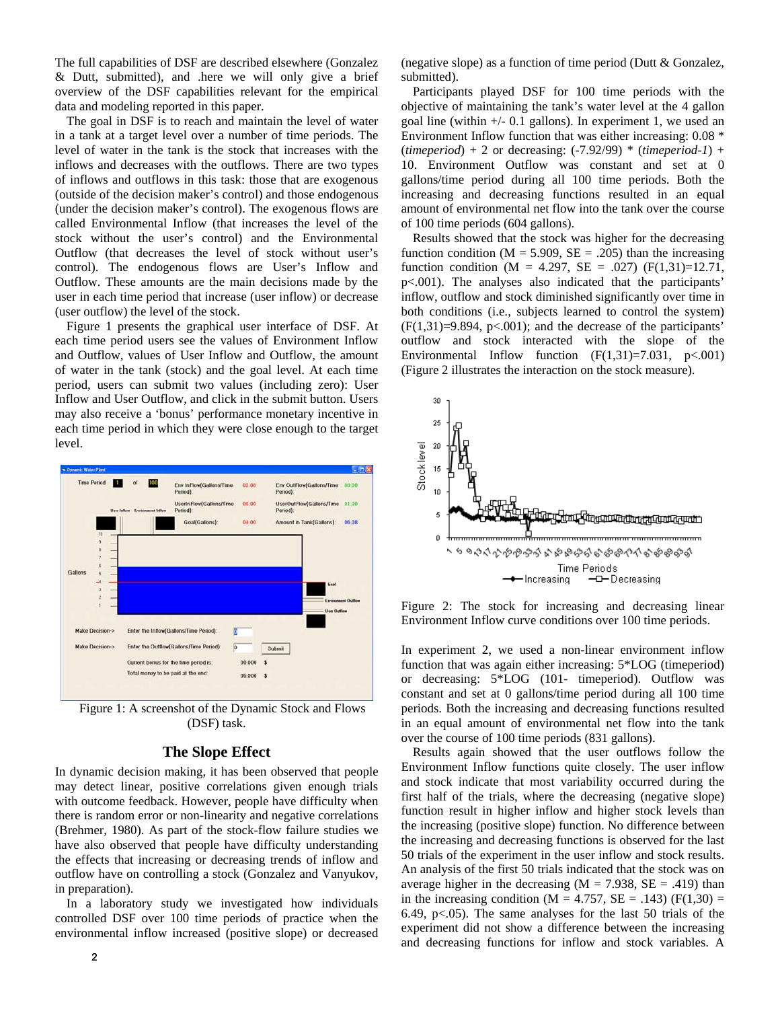The full capabilities of DSF are described elsewhere (Gonzalez & Dutt, submitted), and .here we will only give a brief overview of the DSF capabilities relevant for the empirical data and modeling reported in this paper.

The goal in DSF is to reach and maintain the level of water in a tank at a target level over a number of time periods. The level of water in the tank is the stock that increases with the inflows and decreases with the outflows. There are two types of inflows and outflows in this task: those that are exogenous (outside of the decision maker's control) and those endogenous (under the decision maker's control). The exogenous flows are called Environmental Inflow (that increases the level of the stock without the user's control) and the Environmental Outflow (that decreases the level of stock without user's control). The endogenous flows are User's Inflow and Outflow. These amounts are the main decisions made by the user in each time period that increase (user inflow) or decrease (user outflow) the level of the stock.

Figure 1 presents the graphical user interface of DSF. At each time period users see the values of Environment Inflow and Outflow, values of User Inflow and Outflow, the amount of water in the tank (stock) and the goal level. At each time period, users can submit two values (including zero): User Inflow and User Outflow, and click in the submit button. Users may also receive a 'bonus' performance monetary incentive in each time period in which they were close enough to the target level.



Figure 1: A screenshot of the Dynamic Stock and Flows (DSF) task.

# **The Slope Effect**

In dynamic decision making, it has been observed that people may detect linear, positive correlations given enough trials with outcome feedback. However, people have difficulty when there is random error or non-linearity and negative correlations (Brehmer, 1980). As part of the stock-flow failure studies we have also observed that people have difficulty understanding the effects that increasing or decreasing trends of inflow and outflow have on controlling a stock (Gonzalez and Vanyukov, in preparation).

In a laboratory study we investigated how individuals controlled DSF over 100 time periods of practice when the environmental inflow increased (positive slope) or decreased (negative slope) as a function of time period (Dutt & Gonzalez, submitted).

Participants played DSF for 100 time periods with the objective of maintaining the tank's water level at the 4 gallon goal line (within  $+/-$  0.1 gallons). In experiment 1, we used an Environment Inflow function that was either increasing: 0.08 \* (*timeperiod*) + 2 or decreasing: (-7.92/99) \* (*timeperiod-1*) + 10. Environment Outflow was constant and set at 0 gallons/time period during all 100 time periods. Both the increasing and decreasing functions resulted in an equal amount of environmental net flow into the tank over the course of 100 time periods (604 gallons).

Results showed that the stock was higher for the decreasing function condition ( $M = 5.909$ ,  $SE = .205$ ) than the increasing function condition (M = 4.297, SE = .027) (F(1,31)=12.71, p<.001). The analyses also indicated that the participants' inflow, outflow and stock diminished significantly over time in both conditions (i.e., subjects learned to control the system)  $(F(1,31)=9.894, p<.001)$ ; and the decrease of the participants' outflow and stock interacted with the slope of the Environmental Inflow function  $(F(1,31)=7.031, p<.001)$ (Figure 2 illustrates the interaction on the stock measure).



Figure 2: The stock for increasing and decreasing linear Environment Inflow curve conditions over 100 time periods.

In experiment 2, we used a non-linear environment inflow function that was again either increasing: 5\*LOG (timeperiod) or decreasing: 5\*LOG (101- timeperiod). Outflow was constant and set at 0 gallons/time period during all 100 time periods. Both the increasing and decreasing functions resulted in an equal amount of environmental net flow into the tank over the course of 100 time periods (831 gallons).

Results again showed that the user outflows follow the Environment Inflow functions quite closely. The user inflow and stock indicate that most variability occurred during the first half of the trials, where the decreasing (negative slope) function result in higher inflow and higher stock levels than the increasing (positive slope) function. No difference between the increasing and decreasing functions is observed for the last 50 trials of the experiment in the user inflow and stock results. An analysis of the first 50 trials indicated that the stock was on average higher in the decreasing  $(M = 7.938, SE = .419)$  than in the increasing condition ( $M = 4.757$ ,  $SE = .143$ ) ( $F(1,30) =$ 6.49, p<.05). The same analyses for the last 50 trials of the experiment did not show a difference between the increasing and decreasing functions for inflow and stock variables. A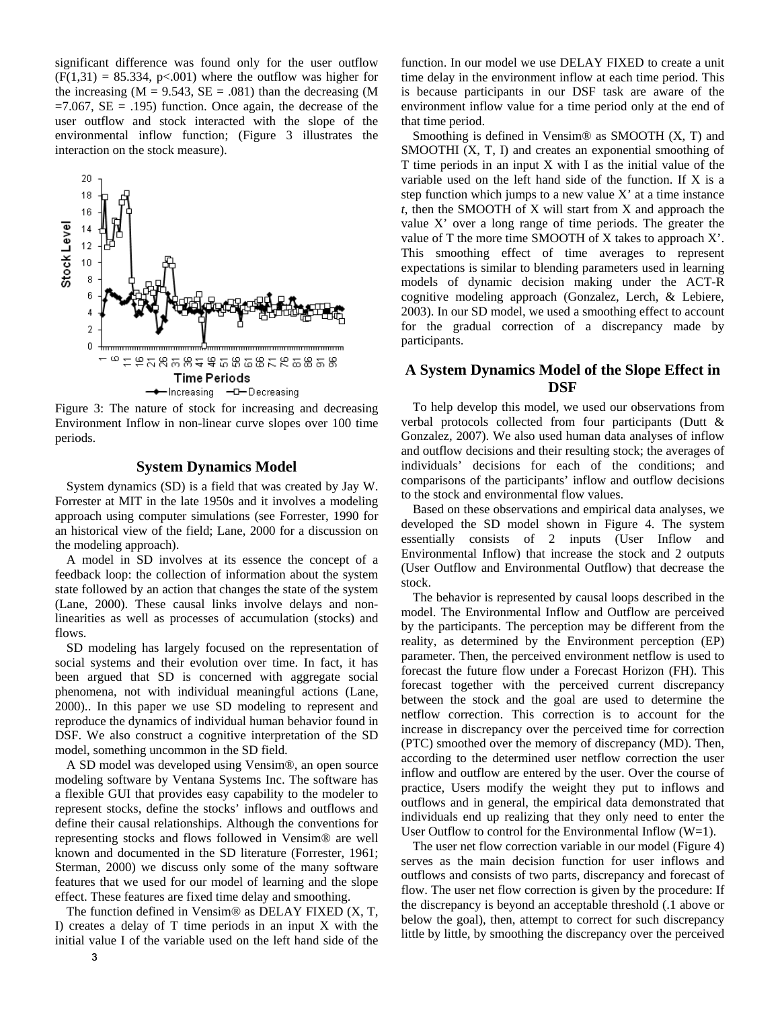significant difference was found only for the user outflow  $(F(1,31) = 85.334, p<.001)$  where the outflow was higher for the increasing  $(M = 9.543, SE = .081)$  than the decreasing  $(M$  $=7.067$ ,  $SE = .195$ ) function. Once again, the decrease of the user outflow and stock interacted with the slope of the environmental inflow function; (Figure 3 illustrates the interaction on the stock measure).



Figure 3: The nature of stock for increasing and decreasing Environment Inflow in non-linear curve slopes over 100 time periods.

## **System Dynamics Model**

System dynamics (SD) is a field that was created by Jay W. Forrester at MIT in the late 1950s and it involves a modeling approach using computer simulations (see Forrester, 1990 for an historical view of the field; Lane, 2000 for a discussion on the modeling approach).

A model in SD involves at its essence the concept of a feedback loop: the collection of information about the system state followed by an action that changes the state of the system (Lane, 2000). These causal links involve delays and nonlinearities as well as processes of accumulation (stocks) and flows.

SD modeling has largely focused on the representation of social systems and their evolution over time. In fact, it has been argued that SD is concerned with aggregate social phenomena, not with individual meaningful actions (Lane, 2000).. In this paper we use SD modeling to represent and reproduce the dynamics of individual human behavior found in DSF. We also construct a cognitive interpretation of the SD model, something uncommon in the SD field.

A SD model was developed using Vensim®, an open source modeling software by Ventana Systems Inc. The software has a flexible GUI that provides easy capability to the modeler to represent stocks, define the stocks' inflows and outflows and define their causal relationships. Although the conventions for representing stocks and flows followed in Vensim® are well known and documented in the SD literature (Forrester, 1961; Sterman, 2000) we discuss only some of the many software features that we used for our model of learning and the slope effect. These features are fixed time delay and smoothing.

The function defined in Vensim® as DELAY FIXED (X, T, I) creates a delay of T time periods in an input X with the initial value I of the variable used on the left hand side of the function. In our model we use DELAY FIXED to create a unit time delay in the environment inflow at each time period. This is because participants in our DSF task are aware of the environment inflow value for a time period only at the end of that time period.

Smoothing is defined in Vensim® as SMOOTH (X, T) and SMOOTHI (X, T, I) and creates an exponential smoothing of T time periods in an input X with I as the initial value of the variable used on the left hand side of the function. If X is a step function which jumps to a new value  $X'$  at a time instance *t*, then the SMOOTH of X will start from X and approach the value X' over a long range of time periods. The greater the value of T the more time SMOOTH of X takes to approach X'. This smoothing effect of time averages to represent expectations is similar to blending parameters used in learning models of dynamic decision making under the ACT-R cognitive modeling approach (Gonzalez, Lerch, & Lebiere, 2003). In our SD model, we used a smoothing effect to account for the gradual correction of a discrepancy made by participants.

# **A System Dynamics Model of the Slope Effect in DSF**

To help develop this model, we used our observations from verbal protocols collected from four participants (Dutt & Gonzalez, 2007). We also used human data analyses of inflow and outflow decisions and their resulting stock; the averages of individuals' decisions for each of the conditions; and comparisons of the participants' inflow and outflow decisions to the stock and environmental flow values.

Based on these observations and empirical data analyses, we developed the SD model shown in Figure 4. The system essentially consists of 2 inputs (User Inflow and Environmental Inflow) that increase the stock and 2 outputs (User Outflow and Environmental Outflow) that decrease the stock.

The behavior is represented by causal loops described in the model. The Environmental Inflow and Outflow are perceived by the participants. The perception may be different from the reality, as determined by the Environment perception (EP) parameter. Then, the perceived environment netflow is used to forecast the future flow under a Forecast Horizon (FH). This forecast together with the perceived current discrepancy between the stock and the goal are used to determine the netflow correction. This correction is to account for the increase in discrepancy over the perceived time for correction (PTC) smoothed over the memory of discrepancy (MD). Then, according to the determined user netflow correction the user inflow and outflow are entered by the user. Over the course of practice, Users modify the weight they put to inflows and outflows and in general, the empirical data demonstrated that individuals end up realizing that they only need to enter the User Outflow to control for the Environmental Inflow (W=1).

The user net flow correction variable in our model (Figure 4) serves as the main decision function for user inflows and outflows and consists of two parts, discrepancy and forecast of flow. The user net flow correction is given by the procedure: If the discrepancy is beyond an acceptable threshold (.1 above or below the goal), then, attempt to correct for such discrepancy little by little, by smoothing the discrepancy over the perceived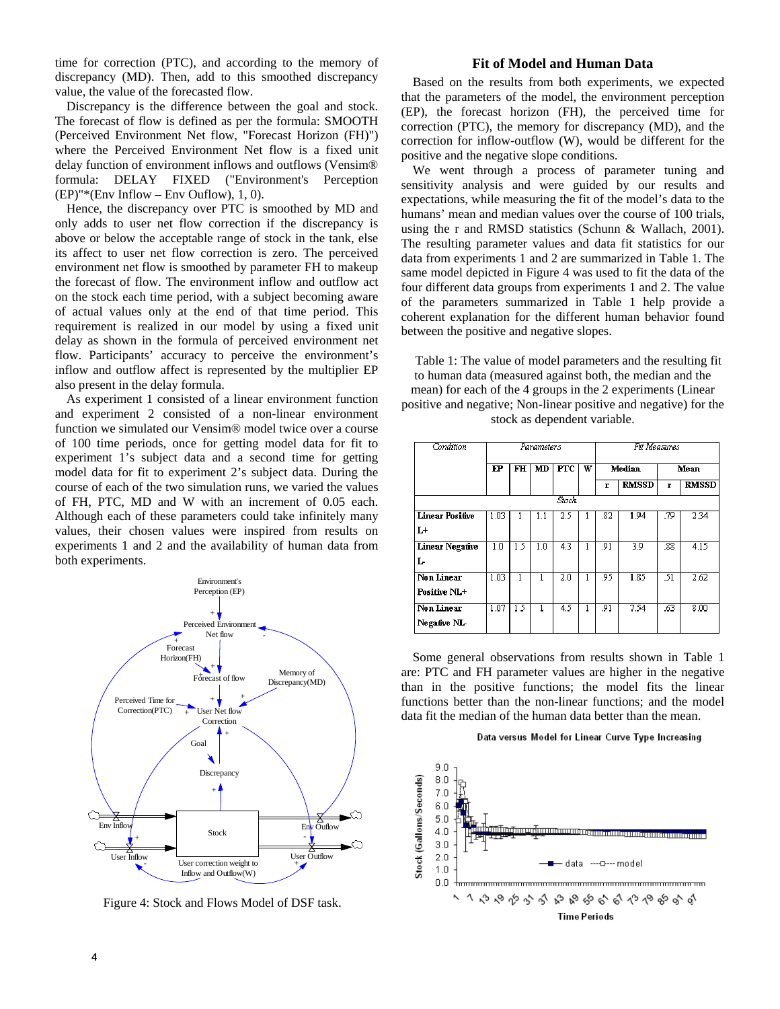time for correction (PTC), and according to the memory of discrepancy (MD). Then, add to this smoothed discrepancy value, the value of the forecasted flow.

Discrepancy is the difference between the goal and stock. The forecast of flow is defined as per the formula: SMOOTH (Perceived Environment Net flow, "Forecast Horizon (FH)") where the Perceived Environment Net flow is a fixed unit delay function of environment inflows and outflows (Vensim® formula: DELAY FIXED ("Environment's Perception  $(EP)$ "\*(Env Inflow – Env Ouflow), 1, 0).

Hence, the discrepancy over PTC is smoothed by MD and only adds to user net flow correction if the discrepancy is above or below the acceptable range of stock in the tank, else its affect to user net flow correction is zero. The perceived environment net flow is smoothed by parameter FH to makeup the forecast of flow. The environment inflow and outflow act on the stock each time period, with a subject becoming aware of actual values only at the end of that time period. This requirement is realized in our model by using a fixed unit delay as shown in the formula of perceived environment net flow. Participants' accuracy to perceive the environment's inflow and outflow affect is represented by the multiplier EP also present in the delay formula.

As experiment 1 consisted of a linear environment function and experiment 2 consisted of a non-linear environment function we simulated our Vensim® model twice over a course of 100 time periods, once for getting model data for fit to experiment 1's subject data and a second time for getting model data for fit to experiment 2's subject data. During the course of each of the two simulation runs, we varied the values of FH, PTC, MD and W with an increment of 0.05 each. Although each of these parameters could take infinitely many values, their chosen values were inspired from results on experiments 1 and 2 and the availability of human data from both experiments.



Figure 4: Stock and Flows Model of DSF task.

## **Fit of Model and Human Data**

Based on the results from both experiments, we expected that the parameters of the model, the environment perception (EP), the forecast horizon (FH), the perceived time for correction (PTC), the memory for discrepancy (MD), and the correction for inflow-outflow (W), would be different for the positive and the negative slope conditions.

We went through a process of parameter tuning and sensitivity analysis and were guided by our results and expectations, while measuring the fit of the model's data to the humans' mean and median values over the course of 100 trials, using the r and RMSD statistics (Schunn & Wallach, 2001). The resulting parameter values and data fit statistics for our data from experiments 1 and 2 are summarized in Table 1. The same model depicted in Figure 4 was used to fit the data of the four different data groups from experiments 1 and 2. The value of the parameters summarized in Table 1 help provide a coherent explanation for the different human behavior found between the positive and negative slopes.

Table 1: The value of model parameters and the resulting fit to human data (measured against both, the median and the mean) for each of the 4 groups in the 2 experiments (Linear positive and negative; Non-linear positive and negative) for the stock as dependent variable.

| Condition              | Parameters |     |     |                   | Fit Measures |               |              |      |                   |
|------------------------|------------|-----|-----|-------------------|--------------|---------------|--------------|------|-------------------|
|                        | $E$ P      | FH  | MD  | $_{\mathrm{PTC}}$ | w            | <b>Median</b> |              | Mean |                   |
|                        |            |     |     |                   |              | r             | <b>RMSSD</b> | г    | <b>RMSSD</b>      |
| Stock                  |            |     |     |                   |              |               |              |      |                   |
| <b>Linear Positive</b> | 1.03       |     |     | 25                |              | .82           | 1.94         | .79  | 2.34              |
| L+                     |            |     |     |                   |              |               |              |      |                   |
| <b>Linear Negative</b> | 1.0        | 15  | 1.0 | 43                |              | 91            | 39           | .88  | 4.15              |
| L                      |            |     |     |                   |              |               |              |      |                   |
| <b>Non Linear</b>      | 1.03       |     |     | $\overline{2.0}$  |              | .95           | 1.85         | 31   | $\overline{2.62}$ |
| Positive NL+           |            |     |     |                   |              |               |              |      |                   |
| <b>Non Linear</b>      | 1.07       | 1.5 |     | 4.5               |              | 91            | 7.54         | .63  | 8.00              |
| Negative NL-           |            |     |     |                   |              |               |              |      |                   |

Some general observations from results shown in Table 1 are: PTC and FH parameter values are higher in the negative than in the positive functions; the model fits the linear functions better than the non-linear functions; and the model data fit the median of the human data better than the mean.

#### Data versus Model for Linear Curve Type Increasing

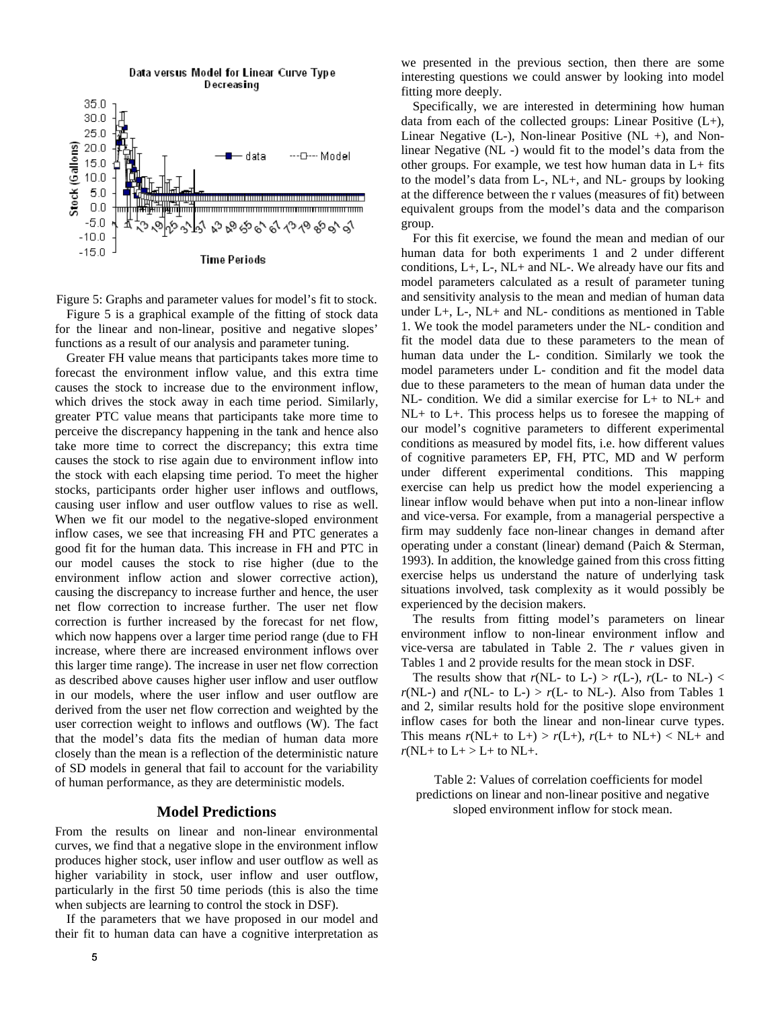

Figure 5: Graphs and parameter values for model's fit to stock. Figure 5 is a graphical example of the fitting of stock data for the linear and non-linear, positive and negative slopes' functions as a result of our analysis and parameter tuning.

Greater FH value means that participants takes more time to forecast the environment inflow value, and this extra time causes the stock to increase due to the environment inflow, which drives the stock away in each time period. Similarly, greater PTC value means that participants take more time to perceive the discrepancy happening in the tank and hence also take more time to correct the discrepancy; this extra time causes the stock to rise again due to environment inflow into the stock with each elapsing time period. To meet the higher stocks, participants order higher user inflows and outflows, causing user inflow and user outflow values to rise as well. When we fit our model to the negative-sloped environment inflow cases, we see that increasing FH and PTC generates a good fit for the human data. This increase in FH and PTC in our model causes the stock to rise higher (due to the environment inflow action and slower corrective action), causing the discrepancy to increase further and hence, the user net flow correction to increase further. The user net flow correction is further increased by the forecast for net flow, which now happens over a larger time period range (due to FH increase, where there are increased environment inflows over this larger time range). The increase in user net flow correction as described above causes higher user inflow and user outflow in our models, where the user inflow and user outflow are derived from the user net flow correction and weighted by the user correction weight to inflows and outflows (W). The fact that the model's data fits the median of human data more closely than the mean is a reflection of the deterministic nature of SD models in general that fail to account for the variability of human performance, as they are deterministic models.

## **Model Predictions**

From the results on linear and non-linear environmental curves, we find that a negative slope in the environment inflow produces higher stock, user inflow and user outflow as well as higher variability in stock, user inflow and user outflow, particularly in the first 50 time periods (this is also the time when subjects are learning to control the stock in DSF).

If the parameters that we have proposed in our model and their fit to human data can have a cognitive interpretation as

we presented in the previous section, then there are some interesting questions we could answer by looking into model fitting more deeply.

Specifically, we are interested in determining how human data from each of the collected groups: Linear Positive  $(L+)$ , Linear Negative  $(L-)$ , Non-linear Positive  $(NL +)$ , and Nonlinear Negative (NL -) would fit to the model's data from the other groups. For example, we test how human data in L+ fits to the model's data from L-, NL+, and NL- groups by looking at the difference between the r values (measures of fit) between equivalent groups from the model's data and the comparison group.

For this fit exercise, we found the mean and median of our human data for both experiments 1 and 2 under different conditions, L+, L-, NL+ and NL-. We already have our fits and model parameters calculated as a result of parameter tuning and sensitivity analysis to the mean and median of human data under L+, L-, NL+ and NL- conditions as mentioned in Table 1. We took the model parameters under the NL- condition and fit the model data due to these parameters to the mean of human data under the L- condition. Similarly we took the model parameters under L- condition and fit the model data due to these parameters to the mean of human data under the NL- condition. We did a similar exercise for L+ to NL+ and NL+ to L+. This process helps us to foresee the mapping of our model's cognitive parameters to different experimental conditions as measured by model fits, i.e. how different values of cognitive parameters EP, FH, PTC, MD and W perform under different experimental conditions. This mapping exercise can help us predict how the model experiencing a linear inflow would behave when put into a non-linear inflow and vice-versa. For example, from a managerial perspective a firm may suddenly face non-linear changes in demand after operating under a constant (linear) demand (Paich & Sterman, 1993). In addition, the knowledge gained from this cross fitting exercise helps us understand the nature of underlying task situations involved, task complexity as it would possibly be experienced by the decision makers.

The results from fitting model's parameters on linear environment inflow to non-linear environment inflow and vice-versa are tabulated in Table 2. The *r* values given in Tables 1 and 2 provide results for the mean stock in DSF.

The results show that  $r(NL-$  to  $L-) > r(L-)$ ,  $r(L-$  to  $NL-) <$  $r(NL-)$  and  $r(NL-$  to  $L-) > r(L-$  to  $NL-)$ . Also from Tables 1 and 2, similar results hold for the positive slope environment inflow cases for both the linear and non-linear curve types. This means  $r(NL+$  to  $L+) > r(L+)$ ,  $r(L+$  to  $NL+) < NL+$  and  $r(NL+$  to  $L+$  >  $L+$  to  $NL+$ .

Table 2: Values of correlation coefficients for model predictions on linear and non-linear positive and negative sloped environment inflow for stock mean.